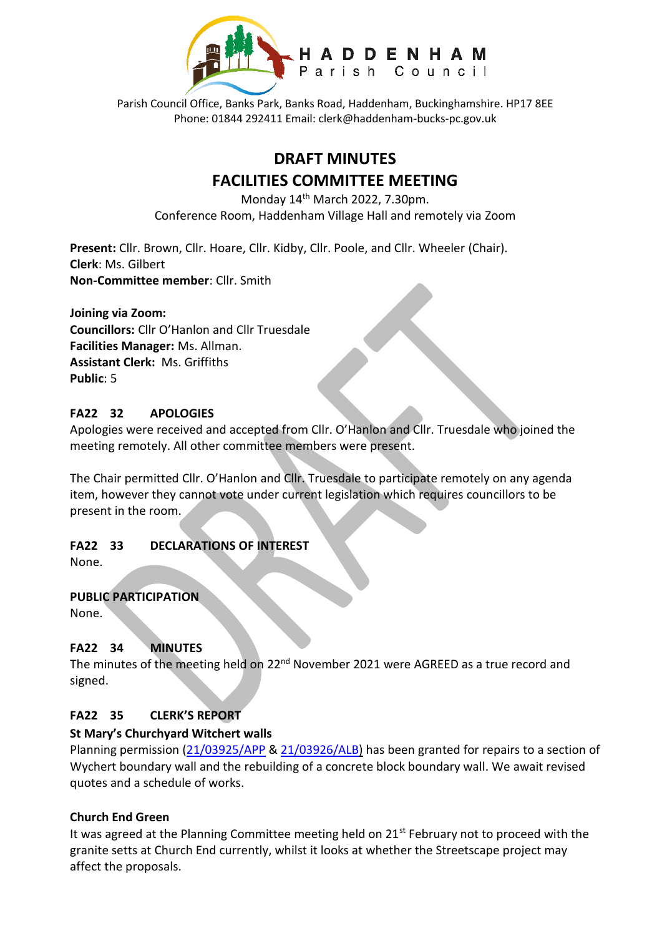

Parish Council Office, Banks Park, Banks Road, Haddenham, Buckinghamshire. HP17 8EE Phone: 01844 292411 Email: clerk@haddenham-bucks-pc.gov.uk

# **DRAFT MINUTES FACILITIES COMMITTEE MEETING**

Monday 14th March 2022, 7.30pm. Conference Room, Haddenham Village Hall and remotely via Zoom

**Present:** Cllr. Brown, Cllr. Hoare, Cllr. Kidby, Cllr. Poole, and Cllr. Wheeler (Chair). **Clerk**: Ms. Gilbert **Non-Committee member**: Cllr. Smith

**Joining via Zoom: Councillors:** Cllr O'Hanlon and Cllr Truesdale **Facilities Manager:** Ms. Allman. **Assistant Clerk:** Ms. Griffiths **Public**: 5

#### **FA22 32 APOLOGIES**

Apologies were received and accepted from Cllr. O'Hanlon and Cllr. Truesdale who joined the meeting remotely. All other committee members were present.

The Chair permitted Cllr. O'Hanlon and Cllr. Truesdale to participate remotely on any agenda item, however they cannot vote under current legislation which requires councillors to be present in the room.

# **FA22 33 DECLARATIONS OF INTEREST**

None.

# **PUBLIC PARTICIPATION**

None.

# **FA22 34 MINUTES**

The minutes of the meeting held on 22<sup>nd</sup> November 2021 were AGREED as a true record and signed.

#### **FA22 35 CLERK'S REPORT**

# **St Mary's Churchyard Witchert walls**

Planning permission [\(21/03925/APP](https://publicaccess.aylesburyvaledc.gov.uk/online-applications/applicationDetails.do?activeTab=summary&keyVal=R0GJ77CLH9A00&prevPage=inTray) & [21/03926/ALB\)](https://publicaccess.aylesburyvaledc.gov.uk/online-applications/applicationDetails.do?activeTab=summary&keyVal=R0GJ7GCLH9B00&prevPage=inTray) has been granted for repairs to a section of Wychert boundary wall and the rebuilding of a concrete block boundary wall. We await revised quotes and a schedule of works.

#### **Church End Green**

It was agreed at the Planning Committee meeting held on  $21<sup>st</sup>$  February not to proceed with the granite setts at Church End currently, whilst it looks at whether the Streetscape project may affect the proposals.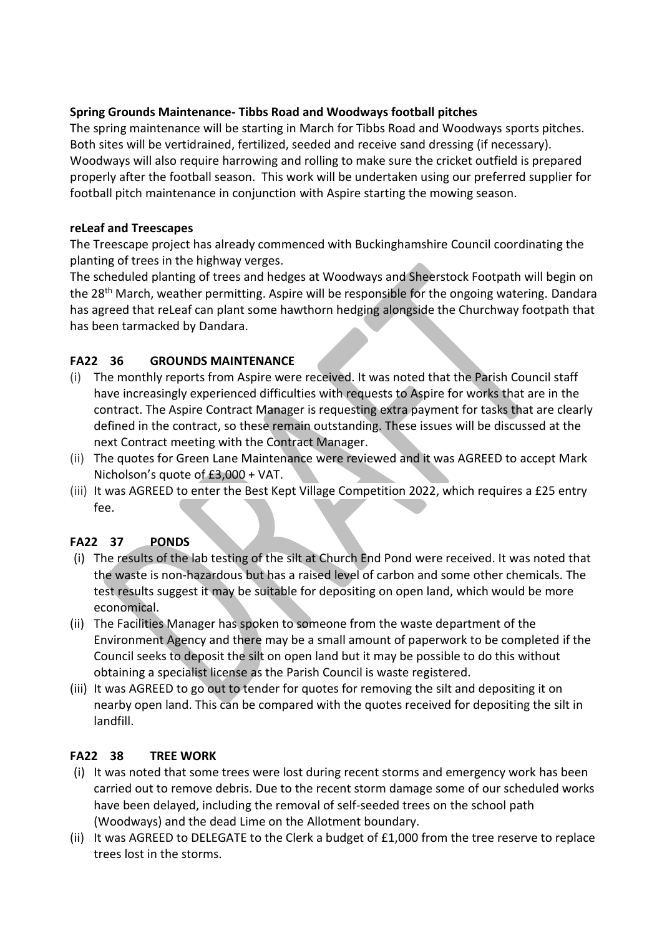## **Spring Grounds Maintenance- Tibbs Road and Woodways football pitches**

The spring maintenance will be starting in March for Tibbs Road and Woodways sports pitches. Both sites will be vertidrained, fertilized, seeded and receive sand dressing (if necessary). Woodways will also require harrowing and rolling to make sure the cricket outfield is prepared properly after the football season. This work will be undertaken using our preferred supplier for football pitch maintenance in conjunction with Aspire starting the mowing season.

#### **reLeaf and Treescapes**

The Treescape project has already commenced with Buckinghamshire Council coordinating the planting of trees in the highway verges.

The scheduled planting of trees and hedges at Woodways and Sheerstock Footpath will begin on the 28<sup>th</sup> March, weather permitting. Aspire will be responsible for the ongoing watering. Dandara has agreed that reLeaf can plant some hawthorn hedging alongside the Churchway footpath that has been tarmacked by Dandara.

# **FA22 36 GROUNDS MAINTENANCE**

- (i) The monthly reports from Aspire were received. It was noted that the Parish Council staff have increasingly experienced difficulties with requests to Aspire for works that are in the contract. The Aspire Contract Manager is requesting extra payment for tasks that are clearly defined in the contract, so these remain outstanding. These issues will be discussed at the next Contract meeting with the Contract Manager.
- (ii) The quotes for Green Lane Maintenance were reviewed and it was AGREED to accept Mark Nicholson's quote of £3,000 + VAT.
- (iii) It was AGREED to enter the Best Kept Village Competition 2022, which requires a £25 entry fee.

# **FA22 37 PONDS**

- (i) The results of the lab testing of the silt at Church End Pond were received. It was noted that the waste is non-hazardous but has a raised level of carbon and some other chemicals. The test results suggest it may be suitable for depositing on open land, which would be more economical.
- (ii) The Facilities Manager has spoken to someone from the waste department of the Environment Agency and there may be a small amount of paperwork to be completed if the Council seeks to deposit the silt on open land but it may be possible to do this without obtaining a specialist license as the Parish Council is waste registered.
- (iii) It was AGREED to go out to tender for quotes for removing the silt and depositing it on nearby open land. This can be compared with the quotes received for depositing the silt in landfill.

# **FA22 38 TREE WORK**

- (i) It was noted that some trees were lost during recent storms and emergency work has been carried out to remove debris. Due to the recent storm damage some of our scheduled works have been delayed, including the removal of self-seeded trees on the school path (Woodways) and the dead Lime on the Allotment boundary.
- (ii) It was AGREED to DELEGATE to the Clerk a budget of £1,000 from the tree reserve to replace trees lost in the storms.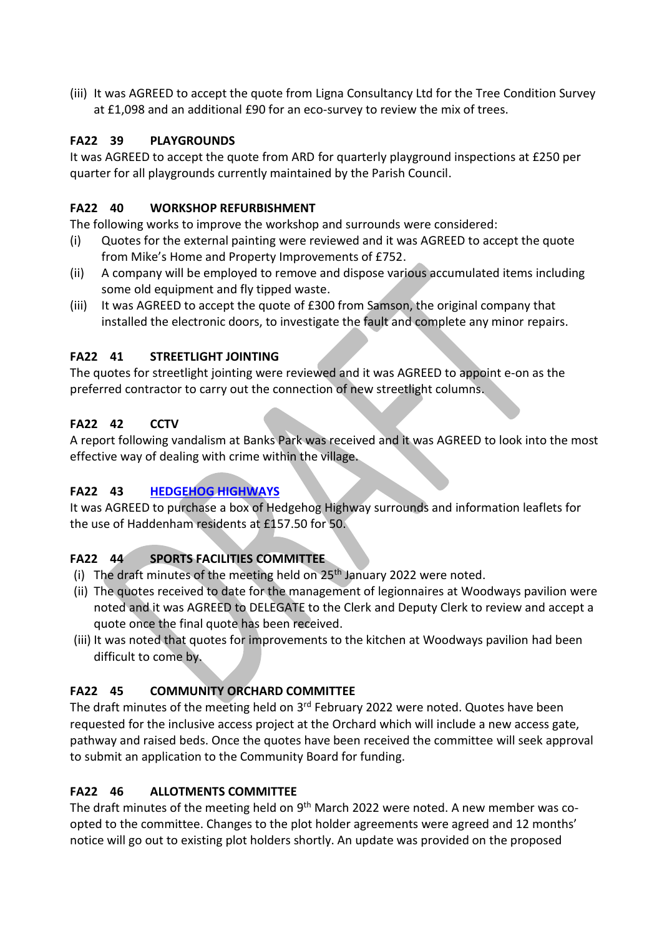(iii) It was AGREED to accept the quote from Ligna Consultancy Ltd for the Tree Condition Survey at £1,098 and an additional £90 for an eco-survey to review the mix of trees.

# **FA22 39 PLAYGROUNDS**

It was AGREED to accept the quote from ARD for quarterly playground inspections at £250 per quarter for all playgrounds currently maintained by the Parish Council.

## **FA22 40 WORKSHOP REFURBISHMENT**

The following works to improve the workshop and surrounds were considered:

- (i) Quotes for the external painting were reviewed and it was AGREED to accept the quote from Mike's Home and Property Improvements of £752.
- (ii) A company will be employed to remove and dispose various accumulated items including some old equipment and fly tipped waste.
- (iii) It was AGREED to accept the quote of £300 from Samson, the original company that installed the electronic doors, to investigate the fault and complete any minor repairs.

# **FA22 41 STREETLIGHT JOINTING**

The quotes for streetlight jointing were reviewed and it was AGREED to appoint e-on as the preferred contractor to carry out the connection of new streetlight columns.

# **FA22 42 CCTV**

A report following vandalism at Banks Park was received and it was AGREED to look into the most effective way of dealing with crime within the village.

# **FA22 43 [HEDGEHOG HIGHWAYS](https://hedgehogsrus.co.uk/hedgehog-highway-project)**

It was AGREED to purchase a box of Hedgehog Highway surrounds and information leaflets for the use of Haddenham residents at £157.50 for 50.

# **FA22 44 SPORTS FACILITIES COMMITTEE**

- (i) The draft minutes of the meeting held on 25<sup>th</sup> January 2022 were noted.
- (ii) The quotes received to date for the management of legionnaires at Woodways pavilion were noted and it was AGREED to DELEGATE to the Clerk and Deputy Clerk to review and accept a quote once the final quote has been received.
- (iii) It was noted that quotes for improvements to the kitchen at Woodways pavilion had been difficult to come by.

# **FA22 45 COMMUNITY ORCHARD COMMITTEE**

The draft minutes of the meeting held on 3<sup>rd</sup> February 2022 were noted. Quotes have been requested for the inclusive access project at the Orchard which will include a new access gate, pathway and raised beds. Once the quotes have been received the committee will seek approval to submit an application to the Community Board for funding.

# **FA22 46 ALLOTMENTS COMMITTEE**

The draft minutes of the meeting held on 9<sup>th</sup> March 2022 were noted. A new member was coopted to the committee. Changes to the plot holder agreements were agreed and 12 months' notice will go out to existing plot holders shortly. An update was provided on the proposed